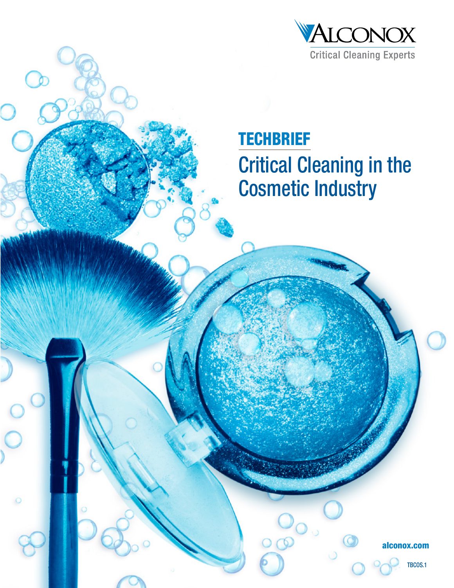

# **TECHBRIEF** Critical Cleaning in the Cosmetic Industry

 $\overline{O}$ 

 $\circ$ 

[alconox.com](https://www.alconox.com/)

 $C = C \cdot \frac{1}{\sqrt{2}}$ TBCOS.1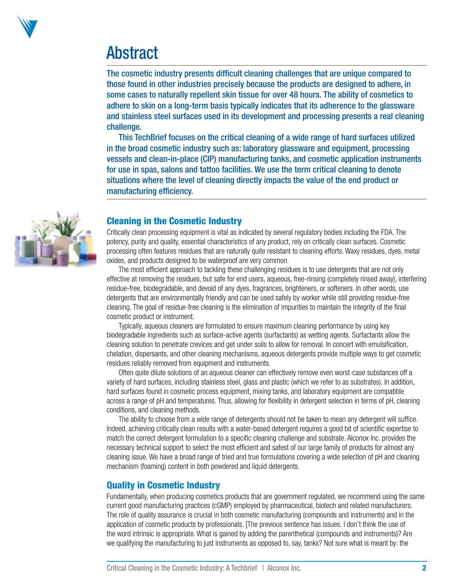

# Abstract

The cosmetic industry presents difficult cleaning challenges that are unique compared to those found in other industries precisely because the products are designed to adhere, in some cases to naturally repellent skin tissue for over 48 hours. The ability of cosmetics to adhere to skin on a long-term basis typically indicates that its adherence to the glassware and stainless steel surfaces used in its development and processing presents a real cleaning challenge.

This TechBrief focuses on the critical cleaning of a wide range of hard surfaces utilized in the broad cosmetic industry such as: laboratory glassware and equipment, processing vessels and clean-in-place (CIP) manufacturing tanks, and cosmetic application instruments for use in spas, salons and tattoo facilities. We use the term critical cleaning to denote situations where the level of cleaning directly impacts the value of the end product or manufacturing efficiency.



#### Cleaning in the Cosmetic Industry

Critically clean processing equipment is vital as indicated by several regulatory bodies including th[e FDA. T](https://www.ecfr.gov/cgi-bin/text-idx?SID=fd6ec4304870a0004624548e9cf65a19&mc=tr%20ue&node=se21.4.211_167&rgn=div8)he potency, purity and quality, essential characteristics of any product, rely on critically clean surfaces. Cosmetic processing often features residues that are naturally quite resistant to cleaning efforts. Waxy residues, dyes, metal oxides, and products designed to be waterproof are very common.

The most efficient approach to tackling these challenging residues is to use detergents that are not only effective at removing the residues, but safe for end users, aqueous, free-rinsing (completely rinsed away), interfering residue-free, biodegradable, and devoid of any dyes, fragrances, brighteners, or softeners. In other words, use detergents that are environmentally friendly and can be used safely by worker while still providing residue-free cleaning. The goal of residue-free cleaning is the elimination of impurities to maintain the integrity of the final cosmetic product or instrument.

Typically, aqueous cleaners are formulated to ensure maximum cleaning performance by using key biodegradable ingredients such as surface-active agents (surfactants) as wetting agents. Surfactants allow the cleaning solution to penetrate crevices and get under soils to allow for removal. In concert with emulsification, chelation, dispersants, and other cleaning mechanisms, aqueous detergents provide multiple ways to get cosmetic residues reliably removed from equipment and instruments.

Often quite dilute solutions of an aqueous cleaner can effectively remove even worst-case substances off a variety of hard surfaces, including stainless steel, glass and plastic (which we refer to as substrates). In addition, hard surfaces found in cosmetic process equipment, mixing tanks, and laboratory equipment are compatible across a range of pH and temperatures. Thus, allowing for flexibility in detergent selection in terms of pH, cleaning conditions, and cleaning methods.

The ability to choose from a wide range of detergents should not be taken to mean any detergent will suffice. Indeed, achieving critically clean results with a water-based detergent requires a good bit of scientific expertise to match the correct detergent formulation to a specific cleaning challenge and substrate. Alconox Inc. provides the necessary technical support to select the most efficient and safest of our large family of products for almost any cleaning issue. We have a broad range of tried and true formulations covering a wide selection of pH and cleaning mechanism (foaming) content in both powdered and liquid detergents.

#### Quality in Cosmetic Industry

Fundamentally, when producing cosmetics products that are government regulated, we recommend using the same current good manufacturing practices (cGMP) employed by pharmaceutical, biotech and related manufacturers. The role of quality assurance is crucial in both cosmetic manufacturing (compounds and instruments) and in the application of cosmetic products by professionals. [The previous sentence has issues. I don't think the use of the word intrinsic is appropriate. What is gained by adding the parenthetical (compounds and instruments)? Are we qualifying the manufacturing to just instruments as opposed to, say, tanks? Not sure what is meant by: the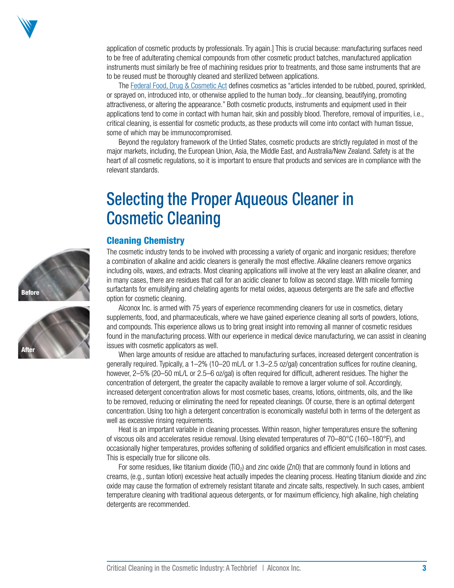

application of cosmetic products by professionals. Try again.] This is crucial because: manufacturing surfaces need to be free of adulterating chemical compounds from other cosmetic product batches, manufactured application instruments must similarly be free of machining residues prior to treatments, and those same instruments that are to be reused must be thoroughly cleaned and sterilized between applications.

The [Federal Food, Drug & Cosmetic Act d](https://www.fda.gov/regulatory-information/laws-enforced-fda/federal-food-drug-and-cosmetic-act-fdc-act)efines cosmetics as "articles intended to be rubbed, poured, sprinkled, or sprayed on, introduced into, or otherwise applied to the human body...for cleansing, beautifying, promoting attractiveness, or altering the appearance." Both cosmetic products, instruments and equipment used in their applications tend to come in contact with human hair, skin and possibly blood. Therefore, removal of impurities, i.e., critical cleaning, is essential for cosmetic products, as these products will come into contact with human tissue, some of which may be immunocompromised.

Beyond the regulatory framework of the Untied States, cosmetic products are strictly regulated in most of the major markets, including, the European Union, Asia, the Middle East, and Australia/New Zealand. Safety is at the heart of all cosmetic regulations, so it is important to ensure that products and services are in compliance with the relevant standards.

# Selecting the Proper Aqueous Cleaner in Cosmetic Cleaning

#### Cleaning Chemistry

The cosmetic industry tends to be involved with processing a variety of organic and inorganic residues; therefore a combination of alkaline and acidic cleaners is generally the most effective. Alkaline cleaners remove organics including oils, waxes, and extracts. Most cleaning applications will involve at the very least an alkaline cleaner, and in many cases, there are residues that call for an acidic cleaner to follow as second stage. With micelle forming surfactants for emulsifying and chelating agents for metal oxides, aqueous detergents are the safe and effective option for cosmetic cleaning.

Alconox Inc. is armed with 75 years of experience recommending cleaners for use in cosmetics, dietary supplements, food, and pharmaceuticals, where we have gained experience cleaning all sorts of powders, lotions, and compounds. This experience allows us to bring great insight into removing all manner of cosmetic residues found in the manufacturing process. With our experience in medical device manufacturing, we can assist in cleaning issues with cosmetic applicators as well.

When large amounts of residue are attached to manufacturing surfaces, increased detergent concentration is generally required. Typically, a 1–2% (10–20 mL/L or 1.3–2.5 oz/gal) concentration suffices for routine cleaning, however, 2–5% (20–50 mL/L or 2.5–6 oz/gal) is often required for difficult, adherent residues. The higher the concentration of detergent, the greater the capacity available to remove a larger volume of soil. Accordingly, increased detergent concentration allows for most cosmetic bases, creams, lotions, ointments, oils, and the like to be removed, reducing or eliminating the need for repeated cleanings. Of course, there is an optimal detergent concentration. Using too high a detergent concentration is economically wasteful both in terms of the detergent as well as excessive rinsing requirements.

Heat is an important variable in cleaning processes. Within reason, higher temperatures ensure the softening of viscous oils and accelerates residue removal. Using elevated temperatures of 70–80°C (160–180°F), and occasionally higher temperatures, provides softening of solidified organics and efficient emulsification in most cases. This is especially true for silicone oils.

For some residues, like titanium dioxide (TiO<sub>2</sub>) and zinc oxide (ZnO) that are commonly found in lotions and creams, (e.g., suntan lotion) excessive heat actually impedes the cleaning process. Heating titanium dioxide and zinc oxide may cause the formation of extremely resistant titanate and zincate salts, respectively. In such cases, ambient temperature cleaning with traditional aqueous detergents, or for maximum efficiency, high alkaline, high chelating detergents are recommended.



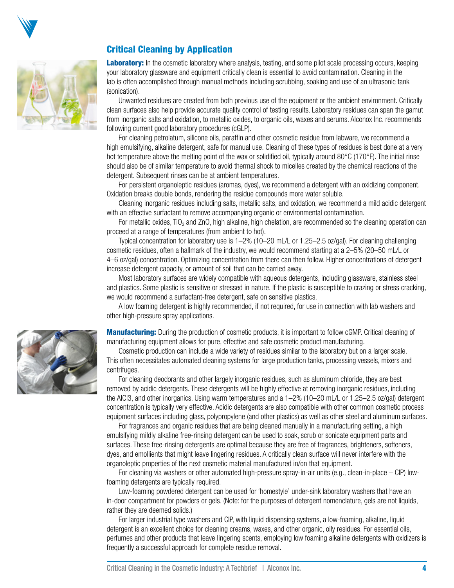



#### Critical Cleaning by Application

Laboratory: In the cosmetic laboratory where analysis, testing, and some pilot scale processing occurs, keeping your laboratory glassware and equipment critically clean is essential to avoid contamination. Cleaning in the lab is often accomplished through manual methods including scrubbing, soaking and use of an ultrasonic tank (sonication).

Unwanted residues are created from both previous use of the equipment or the ambient environment. Critically clean surfaces also help provide accurate quality control of testing results. Laboratory residues can span the gamut from inorganic salts and oxidation, to metallic oxides, to organic oils, waxes and serums. Alconox Inc. recommends following current good laboratory procedures (cGLP).

For cleaning petrolatum, silicone oils, paraffin and other cosmetic residue from labware, we recommend a high emulsifying, alkaline detergent, safe for manual use. Cleaning of these types of residues is best done at a very hot temperature above the melting point of the wax or solidified oil, typically around 80°C (170°F). The initial rinse should also be of similar temperature to avoid thermal shock to micelles created by the chemical reactions of the detergent. Subsequent rinses can be at ambient temperatures.

For persistent organoleptic residues (aromas, dyes), we recommend a detergent with an oxidizing component. Oxidation breaks double bonds, rendering the residue compounds more water soluble.

Cleaning inorganic residues including salts, metallic salts, and oxidation, we recommend a mild acidic detergent with an effective surfactant to remove accompanying organic or environmental contamination.

For metallic oxides, TiO<sub>2</sub> and ZnO, high alkaline, high chelation, are recommended so the cleaning operation can proceed at a range of temperatures (from ambient to hot).

Typical concentration for laboratory use is 1–2% (10–20 mL/L or 1.25–2.5 oz/gal). For cleaning challenging cosmetic residues, often a hallmark of the industry, we would recommend starting at a 2–5% (20–50 mL/L or 4–6 oz/gal) concentration. Optimizing concentration from there can then follow. Higher concentrations of detergent increase detergent capacity, or amount of soil that can be carried away.

Most laboratory surfaces are widely compatible with aqueous detergents, including glassware, stainless steel and plastics. Some plastic is sensitive or stressed in nature. If the plastic is susceptible to crazing or stress cracking, we would recommend a surfactant-free detergent, safe on sensitive plastics.

A low foaming detergent is highly recommended, if not required, for use in connection with lab washers and other high-pressure spray applications.

**Manufacturing:** During the production of cosmetic products, it is important to follow cGMP. Critical cleaning of manufacturing equipment allows for pure, effective and safe cosmetic product manufacturing.

Cosmetic production can include a wide variety of residues similar to the laboratory but on a larger scale. This often necessitates automated cleaning systems for large production tanks, processing vessels, mixers and centrifuges.

For cleaning deodorants and other largely inorganic residues, such as aluminum chloride, they are best removed by acidic detergents. These detergents will be highly effective at removing inorganic residues, including the AlCl3, and other inorganics. Using warm temperatures and a 1–2% (10–20 mL/L or 1.25–2.5 oz/gal) detergent concentration is typically very effective. Acidic detergents are also compatible with other common cosmetic process equipment surfaces including glass, polypropylene (and other plastics) as well as other steel and aluminum surfaces.

For fragrances and organic residues that are being cleaned manually in a manufacturing setting, a high emulsifying mildly alkaline free-rinsing detergent can be used to soak, scrub or sonicate equipment parts and surfaces. These free-rinsing detergents are optimal because they are free of fragrances, brighteners, softeners, dyes, and emollients that might leave lingering residues. A critically clean surface will never interfere with the organoleptic properties of the next cosmetic material manufactured in/on that equipment.

For cleaning via washers or other automated high-pressure spray-in-air units (e.g., clean-in-place – CIP) lowfoaming detergents are typically required.

Low-foaming powdered detergent can be used for 'homestyle' under-sink laboratory washers that have an in-door compartment for powders or gels. (Note: for the purposes of detergent nomenclature, gels are not liquids, rather they are deemed solids.)

For larger industrial type washers and CIP, with liquid dispensing systems, a low-foaming, alkaline, liquid detergent is an excellent choice for cleaning creams, waxes, and other organic, oily residues. For essential oils, perfumes and other products that leave lingering scents, employing low foaming alkaline detergents with oxidizers is frequently a successful approach for complete residue removal.

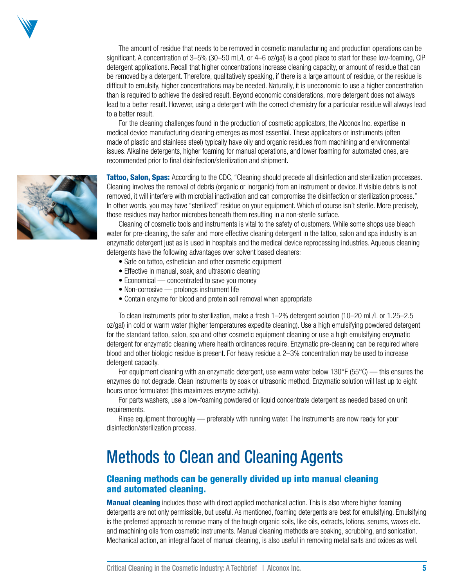

The amount of residue that needs to be removed in cosmetic manufacturing and production operations can be significant. A concentration of 3–5% (30–50 mL/L or 4–6 oz/gal) is a good place to start for these low-foaming, CIP detergent applications. Recall that higher concentrations increase cleaning capacity, or amount of residue that can be removed by a detergent. Therefore, qualitatively speaking, if there is a large amount of residue, or the residue is difficult to emulsify, higher concentrations may be needed. Naturally, it is uneconomic to use a higher concentration than is required to achieve the desired result. Beyond economic considerations, more detergent does not always lead to a better result. However, using a detergent with the correct chemistry for a particular residue will always lead to a better result.

For the cleaning challenges found in the production of cosmetic applicators, the Alconox Inc. expertise in medical device manufacturing cleaning emerges as most essential. These applicators or instruments (often made of plastic and stainless steel) typically have oily and organic residues from machining and environmental issues. Alkaline detergents, higher foaming for manual operations, and lower foaming for automated ones, are recommended prior to final disinfection/sterilization and shipment.

Tattoo, Salon, Spas: According to th[e CDC, "](https://www.cdc.gov/oralhealth/infectioncontrol/faqs/cleaning.html)Cleaning should precede all disinfection and sterilization processes. Cleaning involves the removal of debris (organic or inorganic) from an instrument or device. If visible debris is not removed, it will interfere with microbial inactivation and can compromise the disinfection or sterilization process." In other words, you may have "sterilized" residue on your equipment. Which of course isn't sterile. More precisely, those residues may harbor microbes beneath them resulting in a non-sterile surface.

Cleaning of cosmetic tools and instruments is vital to the safety of customers. While some shops use bleach water for pre-cleaning, the safer and more effective cleaning detergent in the tattoo, salon and spa industry is an enzymatic detergent just as is used in hospitals and the medical device reprocessing industries. Aqueous cleaning detergents have the following advantages over solvent based cleaners:

- Safe on tattoo, esthetician and other cosmetic equipment
- Effective in manual, soak, and ultrasonic cleaning
- Economical concentrated to save you money
- Non-corrosive prolongs instrument life
- Contain enzyme for blood and protein soil removal when appropriate

To clean instruments prior to sterilization, make a fresh 1–2% detergent solution (10–20 mL/L or 1.25–2.5 oz/gal) in cold or warm water (higher temperatures expedite cleaning). Use a high emulsifying powdered detergent for the standard tattoo, salon, spa and other cosmetic equipment cleaning or use a high emulsifying enzymatic detergent for enzymatic cleaning where health ordinances require. Enzymatic pre-cleaning can be required where blood and other biologic residue is present. For heavy residue a 2–3% concentration may be used to increase detergent capacity.

For equipment cleaning with an enzymatic detergent, use warm water below 130°F (55°C) — this ensures the enzymes do not degrade. Clean instruments by soak or ultrasonic method. Enzymatic solution will last up to eight hours once formulated (this maximizes enzyme activity).

For parts washers, use a low-foaming powdered or liquid concentrate detergent as needed based on unit requirements.

Rinse equipment thoroughly — preferably with running water. The instruments are now ready for your disinfection/sterilization process.

## Methods to Clean and Cleaning Agents

#### Cleaning methods can be generally divided up into manual cleaning and automated cleaning.

**Manual cleaning** includes those with direct applied mechanical action. This is also where higher foaming detergents are not only permissible, but useful. As mentioned, foaming detergents are best for emulsifying. Emulsifying is the preferred approach to remove many of the tough organic soils, like oils, extracts, lotions, serums, waxes etc. and machining oils from cosmetic instruments. Manual cleaning methods are soaking, scrubbing, and sonication. Mechanical action, an integral facet of manual cleaning, is also useful in removing metal salts and oxides as well.

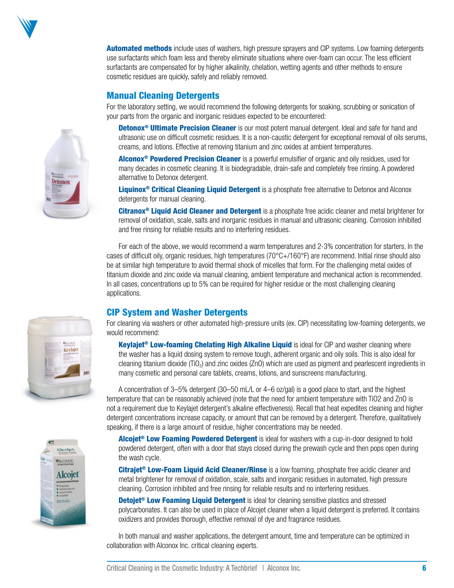

**Automated methods** include uses of washers, high pressure sprayers and CIP systems. Low foaming detergents use surfactants which foam less and thereby eliminate situations where over-foam can occur. The less efficient surfactants are compensated for by higher alkalinity, chelation, wetting agents and other methods to ensure cosmetic residues are quickly, safely and reliably removed.

#### Manual Cleaning Detergents

For the laboratory setting, we would recommend the following detergents for soaking, scrubbing or sonication of your parts from the organic and inorganic residues expected to be encountered:

Detonox<sup>®</sup> Ultimate Precision Cleaner is our most potent manual detergent. Ideal and safe for hand and ultrasonic use on difficult cosmetic residues. It is a non-caustic detergent for exceptional removal of oils serums, creams, and lotions. Effective at removing titanium and zinc oxides at ambient temperatures.

Alconox<sup>®</sup> Powdered Precision Cleaner is a powerful emulsifier of organic and oily residues, used for many decades in cosmetic cleaning. It is biodegradable, drain-safe and completely free rinsing. A powdered alternative to Detonox detergent.

Liquinox<sup>®</sup> Critical Cleaning Liquid Detergent is a phosphate free alternative to Detonox and Alconox detergents for manual cleaning.

**Citranox<sup>®</sup> Liquid Acid Cleaner and Detergent** is a phosphate free acidic cleaner and metal brightener for removal of oxidation, scale, salts and inorganic residues in manual and ultrasonic cleaning. Corrosion inhibited and free rinsing for reliable results and no interfering residues.

For each of the above, we would recommend a warm temperatures and 2-3% concentration for starters. In the cases of difficult oily, organic residues, high temperatures (70°C+/160°F) are recommend. Initial rinse should also be at similar high temperature to avoid thermal shock of micelles that form. For the challenging metal oxides of titanium dioxide and zinc oxide via manual cleaning, ambient temperature and mechanical action is recommended. In all cases, concentrations up to 5% can be required for higher residue or the most challenging cleaning applications.

#### CIP System and Washer Detergents

For cleaning via washers or other automated high-pressure units (ex. CIP) necessitating low-foaming detergents, we would recommend:

Keylajet<sup>®</sup> Low-foaming Chelating High Alkaline Liquid is ideal for CIP and washer cleaning where the washer has a liquid dosing system to remove tough, adherent organic and oily soils. This is also ideal for cleaning titanium dioxide ( $TiO<sub>2</sub>$ ) and zinc oxides (ZnO) which are used as pigment and pearlescent ingredients in many cosmetic and personal care tablets, creams, lotions, and sunscreens manufacturing.

A concentration of 3–5% detergent (30–50 mL/L or 4–6 oz/gal) is a good place to start, and the highest temperature that can be reasonably achieved (note that the need for ambient temperature with TiO2 and ZnO is not a requirement due to Keylajet detergent's alkaline effectiveness). Recall that heat expedites cleaning and higher detergent concentrations increase capacity, or amount that can be removed by a detergent. Therefore, qualitatively speaking, if there is a large amount of residue, higher concentrations may be needed.

Alcojet<sup>®</sup> Low Foaming Powdered Detergent is ideal for washers with a cup-in-door designed to hold powdered detergent, often with a door that stays closed during the prewash cycle and then pops open during the wash cycle.

Citrajet<sup>®</sup> Low-Foam Liquid Acid Cleaner/Rinse is a low foaming, phosphate free acidic cleaner and metal brightener for removal of oxidation, scale, salts and inorganic residues in automated, high pressure cleaning. Corrosion inhibited and free rinsing for reliable results and no interfering residues.

Detojet<sup>®</sup> Low Foaming Liquid Detergent is ideal for cleaning sensitive plastics and stressed polycarbonates. It can also be used in place of Alcojet cleaner when a liquid detergent is preferred. It contains oxidizers and provides thorough, effective removal of dye and fragrance residues.

In both manual and washer applications, the detergent amount, time and temperature can be optimized in collaboration with Alconox Inc. critical cleaning experts.



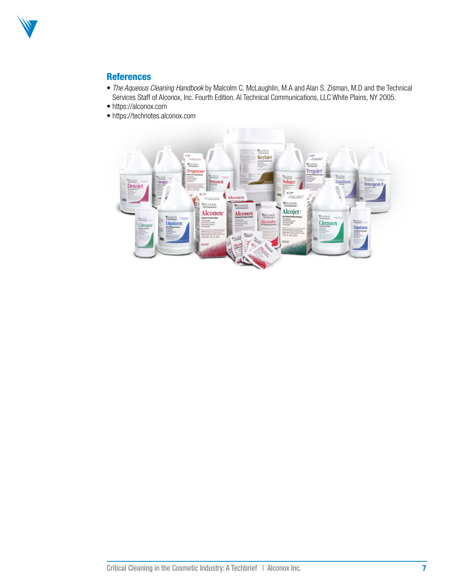

#### **References**

- *The Aqueous Cleaning Handbook* by Malcolm C. McLaughlin, M.A and Alan S. Zisman, M.D and the Technical Services Staff of Alconox, Inc. Fourth Edition. Al Technical Communications, LLC White Plains, NY 2005.
- [https://alconox.com](https://www.alconox.com/)
- <https://technotes.alconox.com>